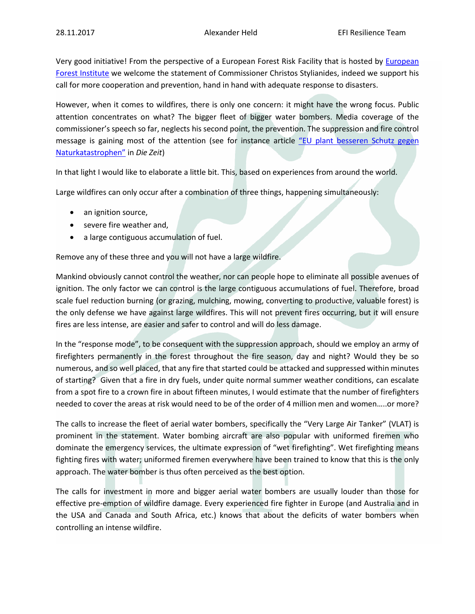Very good initiative! From the perspective of a [European](http://www.efi.int/portal/home/) Forest Risk Facility that is hosted by European [Forest Institute](http://www.efi.int/portal/home/) we welcome the statement of Commissioner Christos Stylianides, indeed we support his call for more cooperation and prevention, hand in hand with adequate response to disasters.

However, when it comes to wildfires, there is only one concern: it might have the wrong focus. Public attention concentrates on what? The bigger fleet of bigger water bombers. Media coverage of the commissioner's speech so far, neglects his second point, the prevention. The suppression and fire control message is gaining most of the attention (see for instance article "EU plant besseren Schutz gegen [Naturkatastrophen"](http://www.zeit.de/politik/ausland/2017-11/europaeische-kommission-schutz-naturkatastrophen-mobile-reserven) in *Die Zeit*)

In that light I would like to elaborate a little bit. This, based on experiences from around the world.

Large wildfires can only occur after a combination of three things, happening simultaneously:

- an ignition source,
- severe fire weather and,
- a large contiguous accumulation of fuel.

Remove any of these three and you will not have a large wildfire.

Mankind obviously cannot control the weather, nor can people hope to eliminate all possible avenues of ignition. The only factor we can control is the large contiguous accumulations of fuel. Therefore, broad scale fuel reduction burning (or grazing, mulching, mowing, converting to productive, valuable forest) is the only defense we have against large wildfires. This will not prevent fires occurring, but it will ensure fires are less intense, are easier and safer to control and will do less damage.

In the "response mode", to be consequent with the suppression approach, should we employ an army of firefighters permanently in the forest throughout the fire season, day and night? Would they be so numerous, and so well placed, that any fire that started could be attacked and suppressed within minutes of starting? Given that a fire in dry fuels, under quite normal summer weather conditions, can escalate from a spot fire to a crown fire in about fifteen minutes, I would estimate that the number of firefighters needed to cover the areas at risk would need to be of the order of 4 million men and women…..or more?

The calls to increase the fleet of aerial water bombers, specifically the "Very Large Air Tanker" (VLAT) is prominent in the statement. Water bombing aircraft are also popular with uniformed firemen who dominate the emergency services, the ultimate expression of "wet firefighting". Wet firefighting means fighting fires with water; uniformed firemen everywhere have been trained to know that this is the only approach. The water bomber is thus often perceived as the best option.

The calls for investment in more and bigger aerial water bombers are usually louder than those for effective pre-emption of wildfire damage. Every experienced fire fighter in Europe (and Australia and in the USA and Canada and South Africa, etc.) knows that about the deficits of water bombers when controlling an intense wildfire.